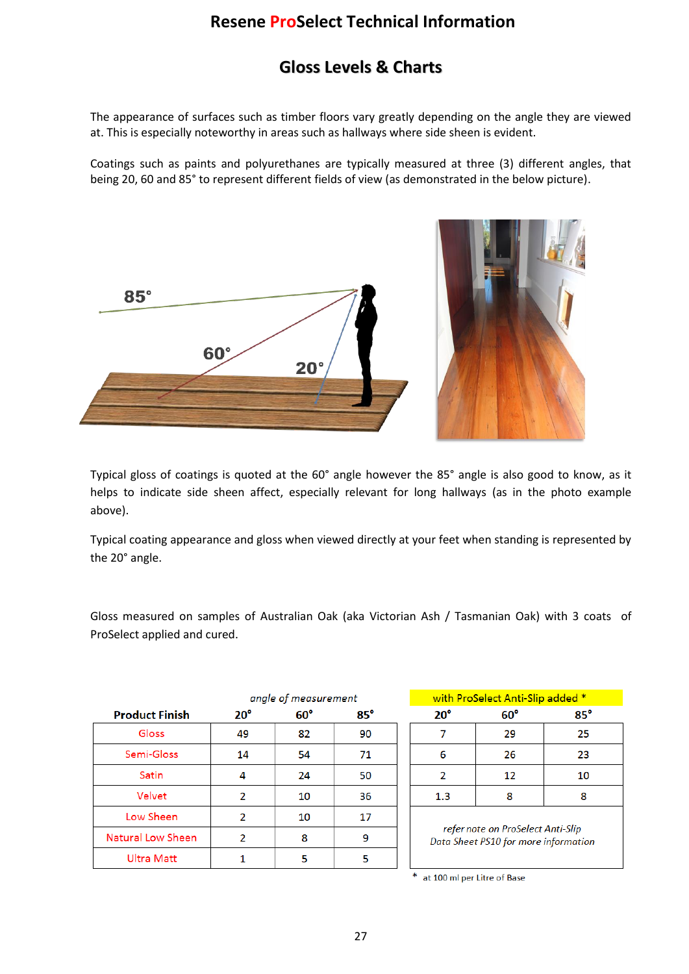## **Resene ProSelect Technical Information**

## **Gloss Levels & Charts**

The appearance of surfaces such as timber floors vary greatly depending on the angle they are viewed at. This is especially noteworthy in areas such as hallways where side sheen is evident.

Coatings such as paints and polyurethanes are typically measured at three (3) different angles, that being 20, 60 and 85° to represent different fields of view (as demonstrated in the below picture).



Typical gloss of coatings is quoted at the 60° angle however the 85° angle is also good to know, as it helps to indicate side sheen affect, especially relevant for long hallways (as in the photo example above).

Typical coating appearance and gloss when viewed directly at your feet when standing is represented by the 20° angle.

Gloss measured on samples of Australian Oak (aka Victorian Ash / Tasmanian Oak) with 3 coats of ProSelect applied and cured.

|                       | angle of measurement |            |            |  |
|-----------------------|----------------------|------------|------------|--|
| <b>Product Finish</b> | $20^{\circ}$         | $60^\circ$ | $85^\circ$ |  |
| Gloss                 | 49                   | 82         | 90         |  |
| Semi-Gloss            | 14                   | 54         | 71         |  |
| Satin                 | 4                    | 24         | 50         |  |
| Velvet                | 2                    | 10         | 36         |  |
| Low Sheen             | 2                    | 10         | 17         |  |
| Natural Low Sheen     | 2                    | 8          | 9          |  |
| <b>Ultra Matt</b>     |                      | 5          | Б          |  |

| with ProSelect Anti-Slip added *                                          |            |            |  |  |  |
|---------------------------------------------------------------------------|------------|------------|--|--|--|
| $20^{\circ}$                                                              | $60^\circ$ | $85^\circ$ |  |  |  |
|                                                                           | 29         | 25         |  |  |  |
| 6                                                                         | 26         | 23         |  |  |  |
| 2                                                                         | 12         | 10         |  |  |  |
| 1.3                                                                       | 8          | 8          |  |  |  |
| refer note on ProSelect Anti-Slip<br>Data Sheet PS10 for more information |            |            |  |  |  |

at 100 ml per Litre of Base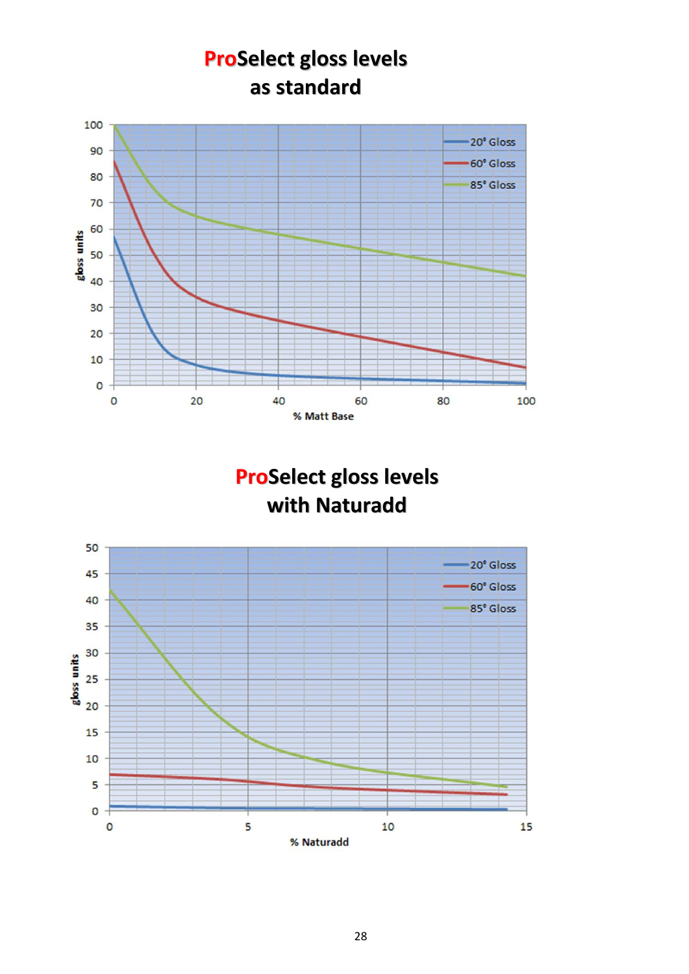

**ProSelect gloss levels with Naturadd**